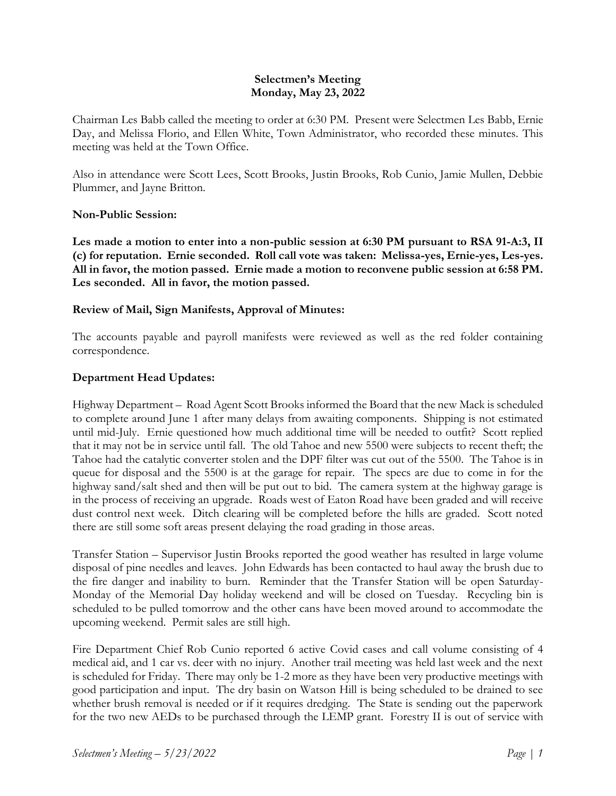### **Selectmen's Meeting Monday, May 23, 2022**

Chairman Les Babb called the meeting to order at 6:30 PM. Present were Selectmen Les Babb, Ernie Day, and Melissa Florio, and Ellen White, Town Administrator, who recorded these minutes. This meeting was held at the Town Office.

Also in attendance were Scott Lees, Scott Brooks, Justin Brooks, Rob Cunio, Jamie Mullen, Debbie Plummer, and Jayne Britton.

#### **Non-Public Session:**

**Les made a motion to enter into a non-public session at 6:30 PM pursuant to RSA 91-A:3, II (c) for reputation. Ernie seconded. Roll call vote was taken: Melissa-yes, Ernie-yes, Les-yes. All in favor, the motion passed. Ernie made a motion to reconvene public session at 6:58 PM. Les seconded. All in favor, the motion passed.**

### **Review of Mail, Sign Manifests, Approval of Minutes:**

The accounts payable and payroll manifests were reviewed as well as the red folder containing correspondence.

### **Department Head Updates:**

Highway Department – Road Agent Scott Brooks informed the Board that the new Mack is scheduled to complete around June 1 after many delays from awaiting components. Shipping is not estimated until mid-July. Ernie questioned how much additional time will be needed to outfit? Scott replied that it may not be in service until fall. The old Tahoe and new 5500 were subjects to recent theft; the Tahoe had the catalytic converter stolen and the DPF filter was cut out of the 5500. The Tahoe is in queue for disposal and the 5500 is at the garage for repair. The specs are due to come in for the highway sand/salt shed and then will be put out to bid. The camera system at the highway garage is in the process of receiving an upgrade. Roads west of Eaton Road have been graded and will receive dust control next week. Ditch clearing will be completed before the hills are graded. Scott noted there are still some soft areas present delaying the road grading in those areas.

Transfer Station – Supervisor Justin Brooks reported the good weather has resulted in large volume disposal of pine needles and leaves. John Edwards has been contacted to haul away the brush due to the fire danger and inability to burn. Reminder that the Transfer Station will be open Saturday-Monday of the Memorial Day holiday weekend and will be closed on Tuesday. Recycling bin is scheduled to be pulled tomorrow and the other cans have been moved around to accommodate the upcoming weekend. Permit sales are still high.

Fire Department Chief Rob Cunio reported 6 active Covid cases and call volume consisting of 4 medical aid, and 1 car vs. deer with no injury. Another trail meeting was held last week and the next is scheduled for Friday. There may only be 1-2 more as they have been very productive meetings with good participation and input. The dry basin on Watson Hill is being scheduled to be drained to see whether brush removal is needed or if it requires dredging. The State is sending out the paperwork for the two new AEDs to be purchased through the LEMP grant. Forestry II is out of service with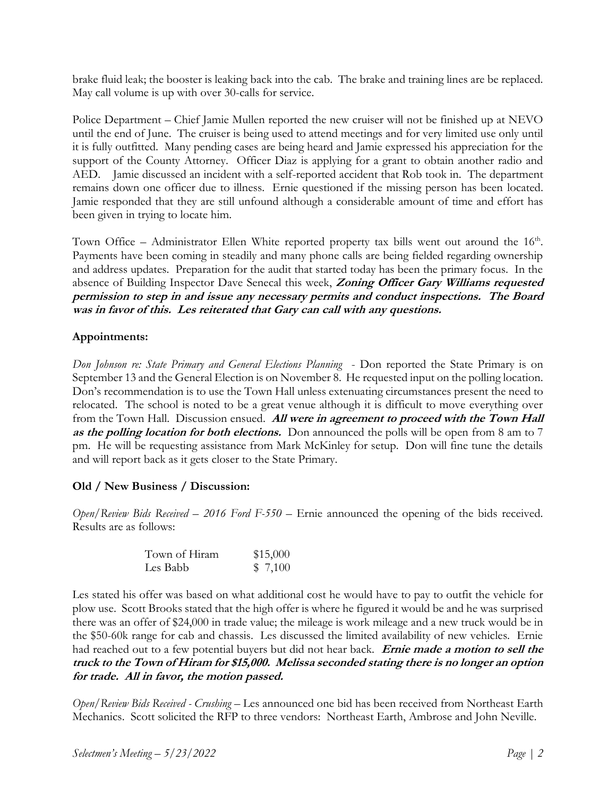brake fluid leak; the booster is leaking back into the cab. The brake and training lines are be replaced. May call volume is up with over 30-calls for service.

Police Department – Chief Jamie Mullen reported the new cruiser will not be finished up at NEVO until the end of June. The cruiser is being used to attend meetings and for very limited use only until it is fully outfitted. Many pending cases are being heard and Jamie expressed his appreciation for the support of the County Attorney. Officer Diaz is applying for a grant to obtain another radio and AED. Jamie discussed an incident with a self-reported accident that Rob took in. The department remains down one officer due to illness. Ernie questioned if the missing person has been located. Jamie responded that they are still unfound although a considerable amount of time and effort has been given in trying to locate him.

Town Office – Administrator Ellen White reported property tax bills went out around the  $16<sup>th</sup>$ . Payments have been coming in steadily and many phone calls are being fielded regarding ownership and address updates. Preparation for the audit that started today has been the primary focus. In the absence of Building Inspector Dave Senecal this week, **Zoning Officer Gary Williams requested permission to step in and issue any necessary permits and conduct inspections. The Board was in favor of this. Les reiterated that Gary can call with any questions.**

# **Appointments:**

*Don Johnson re: State Primary and General Elections Planning* - Don reported the State Primary is on September 13 and the General Election is on November 8. He requested input on the polling location. Don's recommendation is to use the Town Hall unless extenuating circumstances present the need to relocated. The school is noted to be a great venue although it is difficult to move everything over from the Town Hall. Discussion ensued. **All were in agreement to proceed with the Town Hall as the polling location for both elections.** Don announced the polls will be open from 8 am to 7 pm. He will be requesting assistance from Mark McKinley for setup. Don will fine tune the details and will report back as it gets closer to the State Primary.

# **Old / New Business / Discussion:**

*Open/Review Bids Received – 2016 Ford F-550* – Ernie announced the opening of the bids received. Results are as follows:

| Town of Hiram | \$15,000 |
|---------------|----------|
| Les Babb      | \$7,100  |

Les stated his offer was based on what additional cost he would have to pay to outfit the vehicle for plow use. Scott Brooks stated that the high offer is where he figured it would be and he was surprised there was an offer of \$24,000 in trade value; the mileage is work mileage and a new truck would be in the \$50-60k range for cab and chassis. Les discussed the limited availability of new vehicles. Ernie had reached out to a few potential buyers but did not hear back. **Ernie made a motion to sell the truck to the Town of Hiram for \$15,000. Melissa seconded stating there is no longer an option for trade. All in favor, the motion passed.**

*Open/Review Bids Received - Crushing* – Les announced one bid has been received from Northeast Earth Mechanics. Scott solicited the RFP to three vendors: Northeast Earth, Ambrose and John Neville.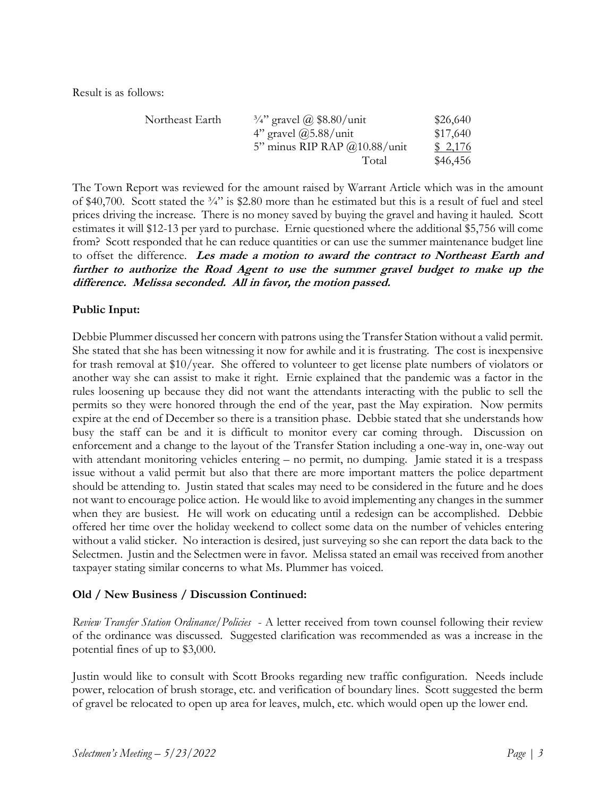Result is as follows:

| Northeast Earth | $\frac{3}{4}$ " gravel @ \$8.80/unit | \$26,640 |
|-----------------|--------------------------------------|----------|
|                 | 4" gravel $\omega$ 5.88/unit         | \$17,640 |
|                 | 5" minus RIP RAP $@10.88/$ unit      | \$2,176  |
|                 | Total                                | \$46,456 |

The Town Report was reviewed for the amount raised by Warrant Article which was in the amount of \$40,700. Scott stated the  $\frac{3}{4}$ " is \$2.80 more than he estimated but this is a result of fuel and steel prices driving the increase. There is no money saved by buying the gravel and having it hauled. Scott estimates it will \$12-13 per yard to purchase. Ernie questioned where the additional \$5,756 will come from? Scott responded that he can reduce quantities or can use the summer maintenance budget line to offset the difference. **Les made a motion to award the contract to Northeast Earth and further to authorize the Road Agent to use the summer gravel budget to make up the difference. Melissa seconded. All in favor, the motion passed.**

## **Public Input:**

Debbie Plummer discussed her concern with patrons using the Transfer Station without a valid permit. She stated that she has been witnessing it now for awhile and it is frustrating. The cost is inexpensive for trash removal at \$10/year. She offered to volunteer to get license plate numbers of violators or another way she can assist to make it right. Ernie explained that the pandemic was a factor in the rules loosening up because they did not want the attendants interacting with the public to sell the permits so they were honored through the end of the year, past the May expiration. Now permits expire at the end of December so there is a transition phase. Debbie stated that she understands how busy the staff can be and it is difficult to monitor every car coming through. Discussion on enforcement and a change to the layout of the Transfer Station including a one-way in, one-way out with attendant monitoring vehicles entering – no permit, no dumping. Jamie stated it is a trespass issue without a valid permit but also that there are more important matters the police department should be attending to. Justin stated that scales may need to be considered in the future and he does not want to encourage police action. He would like to avoid implementing any changes in the summer when they are busiest. He will work on educating until a redesign can be accomplished. Debbie offered her time over the holiday weekend to collect some data on the number of vehicles entering without a valid sticker. No interaction is desired, just surveying so she can report the data back to the Selectmen. Justin and the Selectmen were in favor. Melissa stated an email was received from another taxpayer stating similar concerns to what Ms. Plummer has voiced.

### **Old / New Business / Discussion Continued:**

*Review Transfer Station Ordinance/Policies* - A letter received from town counsel following their review of the ordinance was discussed. Suggested clarification was recommended as was a increase in the potential fines of up to \$3,000.

Justin would like to consult with Scott Brooks regarding new traffic configuration. Needs include power, relocation of brush storage, etc. and verification of boundary lines. Scott suggested the berm of gravel be relocated to open up area for leaves, mulch, etc. which would open up the lower end.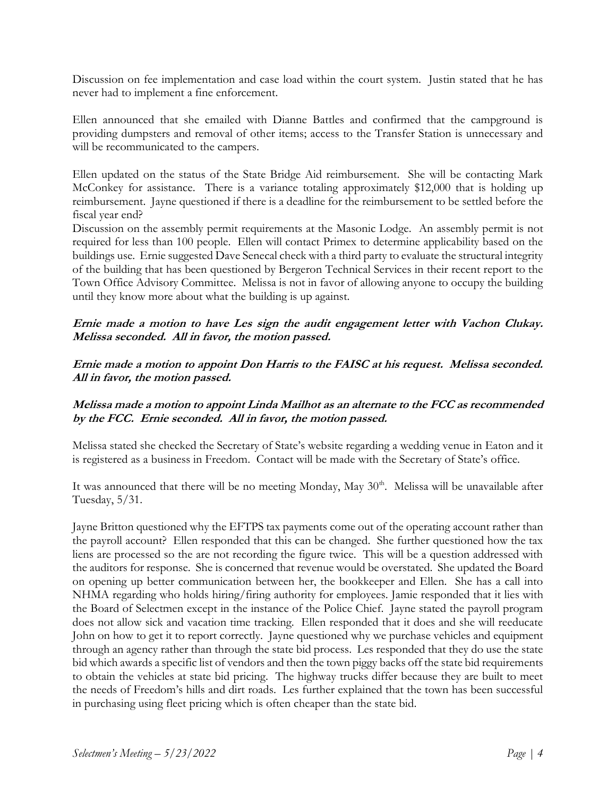Discussion on fee implementation and case load within the court system. Justin stated that he has never had to implement a fine enforcement.

Ellen announced that she emailed with Dianne Battles and confirmed that the campground is providing dumpsters and removal of other items; access to the Transfer Station is unnecessary and will be recommunicated to the campers.

Ellen updated on the status of the State Bridge Aid reimbursement. She will be contacting Mark McConkey for assistance. There is a variance totaling approximately \$12,000 that is holding up reimbursement. Jayne questioned if there is a deadline for the reimbursement to be settled before the fiscal year end?

Discussion on the assembly permit requirements at the Masonic Lodge. An assembly permit is not required for less than 100 people. Ellen will contact Primex to determine applicability based on the buildings use. Ernie suggested Dave Senecal check with a third party to evaluate the structural integrity of the building that has been questioned by Bergeron Technical Services in their recent report to the Town Office Advisory Committee. Melissa is not in favor of allowing anyone to occupy the building until they know more about what the building is up against.

## **Ernie made a motion to have Les sign the audit engagement letter with Vachon Clukay. Melissa seconded. All in favor, the motion passed.**

## **Ernie made a motion to appoint Don Harris to the FAISC at his request. Melissa seconded. All in favor, the motion passed.**

## **Melissa made a motion to appoint Linda Mailhot as an alternate to the FCC as recommended by the FCC. Ernie seconded. All in favor, the motion passed.**

Melissa stated she checked the Secretary of State's website regarding a wedding venue in Eaton and it is registered as a business in Freedom. Contact will be made with the Secretary of State's office.

It was announced that there will be no meeting Monday, May 30<sup>th</sup>. Melissa will be unavailable after Tuesday, 5/31.

Jayne Britton questioned why the EFTPS tax payments come out of the operating account rather than the payroll account? Ellen responded that this can be changed. She further questioned how the tax liens are processed so the are not recording the figure twice. This will be a question addressed with the auditors for response. She is concerned that revenue would be overstated. She updated the Board on opening up better communication between her, the bookkeeper and Ellen. She has a call into NHMA regarding who holds hiring/firing authority for employees. Jamie responded that it lies with the Board of Selectmen except in the instance of the Police Chief. Jayne stated the payroll program does not allow sick and vacation time tracking. Ellen responded that it does and she will reeducate John on how to get it to report correctly. Jayne questioned why we purchase vehicles and equipment through an agency rather than through the state bid process. Les responded that they do use the state bid which awards a specific list of vendors and then the town piggy backs off the state bid requirements to obtain the vehicles at state bid pricing. The highway trucks differ because they are built to meet the needs of Freedom's hills and dirt roads. Les further explained that the town has been successful in purchasing using fleet pricing which is often cheaper than the state bid.